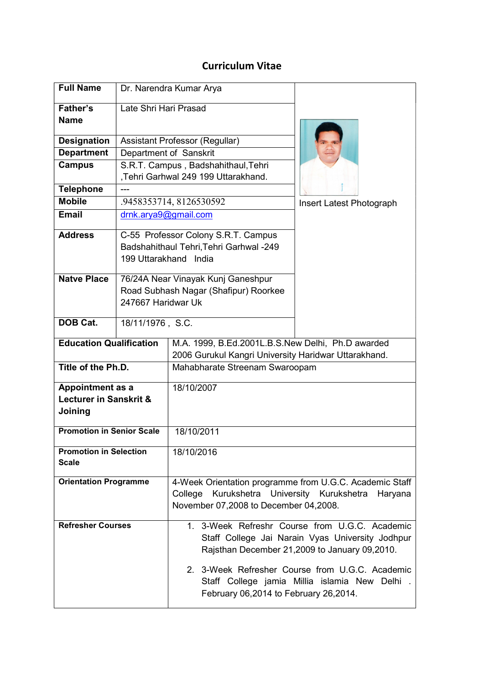## Curriculum Vitae

| <b>Full Name</b>                              |                                                                                                         | Dr. Narendra Kumar Arya                                                                                                                                                                                                                                                                          |                          |  |
|-----------------------------------------------|---------------------------------------------------------------------------------------------------------|--------------------------------------------------------------------------------------------------------------------------------------------------------------------------------------------------------------------------------------------------------------------------------------------------|--------------------------|--|
| Father's                                      | Late Shri Hari Prasad                                                                                   |                                                                                                                                                                                                                                                                                                  |                          |  |
| <b>Name</b>                                   |                                                                                                         |                                                                                                                                                                                                                                                                                                  |                          |  |
| <b>Designation</b>                            | Assistant Professor (Regullar)                                                                          |                                                                                                                                                                                                                                                                                                  |                          |  |
| <b>Department</b>                             |                                                                                                         | Department of Sanskrit                                                                                                                                                                                                                                                                           |                          |  |
| <b>Campus</b>                                 |                                                                                                         | S.R.T. Campus, Badshahithaul, Tehri<br>,Tehri Garhwal 249 199 Uttarakhand.                                                                                                                                                                                                                       |                          |  |
| <b>Telephone</b>                              |                                                                                                         |                                                                                                                                                                                                                                                                                                  |                          |  |
| <b>Mobile</b>                                 | .9458353714, 8126530592                                                                                 |                                                                                                                                                                                                                                                                                                  | Insert Latest Photograph |  |
| <b>Email</b>                                  | drnk.arya9@gmail.com                                                                                    |                                                                                                                                                                                                                                                                                                  |                          |  |
| <b>Address</b>                                | C-55 Professor Colony S.R.T. Campus<br>Badshahithaul Tehri, Tehri Garhwal -249<br>199 Uttarakhand India |                                                                                                                                                                                                                                                                                                  |                          |  |
| <b>Natve Place</b>                            | 247667 Haridwar Uk                                                                                      | 76/24A Near Vinayak Kunj Ganeshpur<br>Road Subhash Nagar (Shafipur) Roorkee                                                                                                                                                                                                                      |                          |  |
| <b>DOB Cat.</b>                               | 18/11/1976, S.C.                                                                                        |                                                                                                                                                                                                                                                                                                  |                          |  |
| <b>Education Qualification</b>                |                                                                                                         | M.A. 1999, B.Ed.2001L.B.S.New Delhi, Ph.D awarded<br>2006 Gurukul Kangri University Haridwar Uttarakhand.                                                                                                                                                                                        |                          |  |
| Title of the Ph.D.                            |                                                                                                         | Mahabharate Streenam Swaroopam                                                                                                                                                                                                                                                                   |                          |  |
| Appointment as a                              |                                                                                                         | 18/10/2007                                                                                                                                                                                                                                                                                       |                          |  |
| Lecturer in Sanskrit &<br>Joining             |                                                                                                         |                                                                                                                                                                                                                                                                                                  |                          |  |
| <b>Promotion in Senior Scale</b>              |                                                                                                         | 18/10/2011                                                                                                                                                                                                                                                                                       |                          |  |
| <b>Promotion in Selection</b><br><b>Scale</b> |                                                                                                         | 18/10/2016                                                                                                                                                                                                                                                                                       |                          |  |
| <b>Orientation Programme</b>                  |                                                                                                         | 4-Week Orientation programme from U.G.C. Academic Staff<br>Kurukshetra University Kurukshetra<br>College<br>Haryana<br>November 07,2008 to December 04,2008.                                                                                                                                     |                          |  |
| <b>Refresher Courses</b>                      |                                                                                                         | 1. 3-Week Refreshr Course from U.G.C. Academic<br>Staff College Jai Narain Vyas University Jodhpur<br>Rajsthan December 21,2009 to January 09,2010.<br>2. 3-Week Refresher Course from U.G.C. Academic<br>Staff College jamia Millia islamia New Delhi.<br>February 06,2014 to February 26,2014. |                          |  |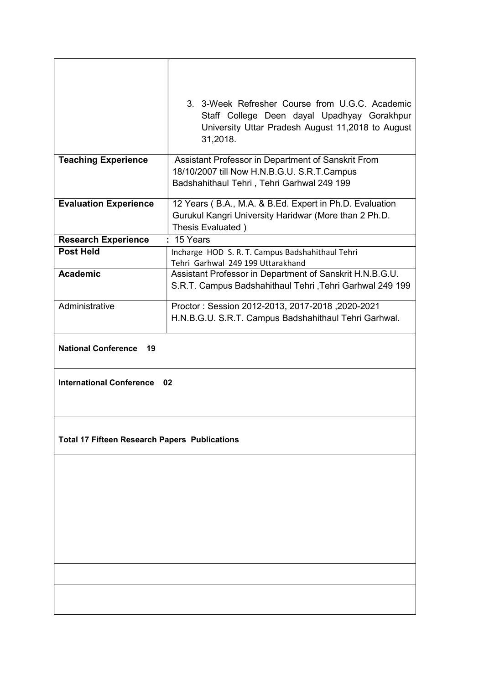|                                                      | 3. 3-Week Refresher Course from U.G.C. Academic<br>Staff College Deen dayal Upadhyay Gorakhpur<br>University Uttar Pradesh August 11,2018 to August<br>31,2018. |  |  |
|------------------------------------------------------|-----------------------------------------------------------------------------------------------------------------------------------------------------------------|--|--|
| <b>Teaching Experience</b>                           | Assistant Professor in Department of Sanskrit From                                                                                                              |  |  |
|                                                      | 18/10/2007 till Now H.N.B.G.U. S.R.T.Campus<br>Badshahithaul Tehri, Tehri Garhwal 249 199                                                                       |  |  |
| <b>Evaluation Experience</b>                         | 12 Years (B.A., M.A. & B.Ed. Expert in Ph.D. Evaluation                                                                                                         |  |  |
|                                                      | Gurukul Kangri University Haridwar (More than 2 Ph.D.<br>Thesis Evaluated)                                                                                      |  |  |
| <b>Research Experience</b>                           | : 15 Years                                                                                                                                                      |  |  |
| <b>Post Held</b>                                     | Incharge HOD S. R. T. Campus Badshahithaul Tehri                                                                                                                |  |  |
|                                                      | Tehri Garhwal 249 199 Uttarakhand                                                                                                                               |  |  |
| <b>Academic</b>                                      | Assistant Professor in Department of Sanskrit H.N.B.G.U.                                                                                                        |  |  |
|                                                      | S.R.T. Campus Badshahithaul Tehri, Tehri Garhwal 249 199                                                                                                        |  |  |
| Administrative                                       | Proctor: Session 2012-2013, 2017-2018, 2020-2021                                                                                                                |  |  |
|                                                      | H.N.B.G.U. S.R.T. Campus Badshahithaul Tehri Garhwal.                                                                                                           |  |  |
| <b>National Conference</b><br>19                     |                                                                                                                                                                 |  |  |
| <b>International Conference</b><br>02                |                                                                                                                                                                 |  |  |
| <b>Total 17 Fifteen Research Papers Publications</b> |                                                                                                                                                                 |  |  |
|                                                      |                                                                                                                                                                 |  |  |
|                                                      |                                                                                                                                                                 |  |  |
|                                                      |                                                                                                                                                                 |  |  |